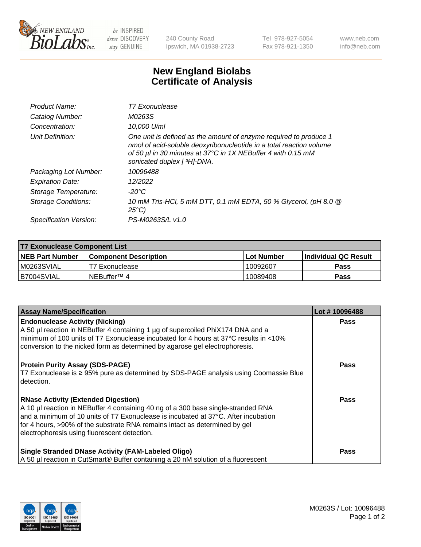

 $be$  INSPIRED drive DISCOVERY stay GENUINE

240 County Road Ipswich, MA 01938-2723 Tel 978-927-5054 Fax 978-921-1350 www.neb.com info@neb.com

## **New England Biolabs Certificate of Analysis**

| Product Name:              | T7 Exonuclease                                                                                                                                                                                                                          |
|----------------------------|-----------------------------------------------------------------------------------------------------------------------------------------------------------------------------------------------------------------------------------------|
| Catalog Number:            | M0263S                                                                                                                                                                                                                                  |
| Concentration:             | 10,000 U/ml                                                                                                                                                                                                                             |
| Unit Definition:           | One unit is defined as the amount of enzyme required to produce 1<br>nmol of acid-soluble deoxyribonucleotide in a total reaction volume<br>of 50 µl in 30 minutes at 37°C in 1X NEBuffer 4 with 0.15 mM<br>sonicated duplex [ 3H]-DNA. |
| Packaging Lot Number:      | 10096488                                                                                                                                                                                                                                |
| <b>Expiration Date:</b>    | 12/2022                                                                                                                                                                                                                                 |
| Storage Temperature:       | -20°C                                                                                                                                                                                                                                   |
| <b>Storage Conditions:</b> | 10 mM Tris-HCl, 5 mM DTT, 0.1 mM EDTA, 50 % Glycerol, (pH 8.0 @<br>$25^{\circ}$ C)                                                                                                                                                      |
| Specification Version:     | PS-M0263S/L v1.0                                                                                                                                                                                                                        |

| T7 Exonuclease Component List |                         |            |                       |  |  |
|-------------------------------|-------------------------|------------|-----------------------|--|--|
| <b>NEB Part Number</b>        | l Component Description | Lot Number | ∣Individual QC Result |  |  |
| IM0263SVIAL                   | T7 Exonuclease          | 10092607   | <b>Pass</b>           |  |  |
| B7004SVIAL                    | INEBuffer™ 4            | 10089408   | Pass                  |  |  |

| <b>Assay Name/Specification</b>                                                                                                                                                                                                                                                                                                                     | Lot #10096488 |
|-----------------------------------------------------------------------------------------------------------------------------------------------------------------------------------------------------------------------------------------------------------------------------------------------------------------------------------------------------|---------------|
| <b>Endonuclease Activity (Nicking)</b><br>A 50 µl reaction in NEBuffer 4 containing 1 µg of supercoiled PhiX174 DNA and a<br>minimum of 100 units of T7 Exonuclease incubated for 4 hours at 37°C results in <10%<br>conversion to the nicked form as determined by agarose gel electrophoresis.                                                    | <b>Pass</b>   |
| <b>Protein Purity Assay (SDS-PAGE)</b><br>T7 Exonuclease is ≥ 95% pure as determined by SDS-PAGE analysis using Coomassie Blue<br>l detection.                                                                                                                                                                                                      | <b>Pass</b>   |
| <b>RNase Activity (Extended Digestion)</b><br>A 10 µl reaction in NEBuffer 4 containing 40 ng of a 300 base single-stranded RNA<br>and a minimum of 10 units of T7 Exonuclease is incubated at 37°C. After incubation<br>for 4 hours, >90% of the substrate RNA remains intact as determined by gel<br>electrophoresis using fluorescent detection. | Pass          |
| <b>Single Stranded DNase Activity (FAM-Labeled Oligo)</b><br>A 50 µl reaction in CutSmart® Buffer containing a 20 nM solution of a fluorescent                                                                                                                                                                                                      | <b>Pass</b>   |